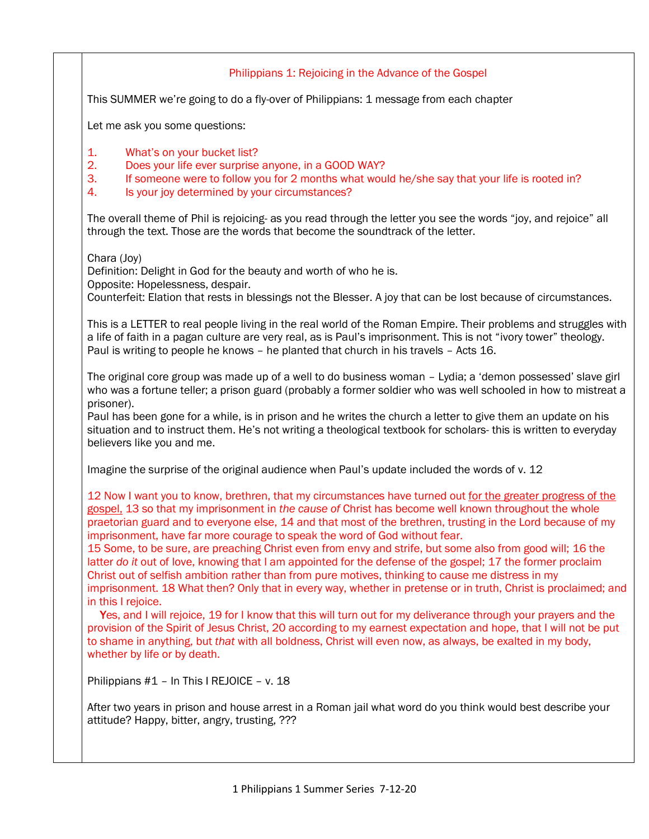## Philippians 1: Rejoicing in the Advance of the Gospel

This SUMMER we're going to do a fly-over of Philippians: 1 message from each chapter

Let me ask you some questions:

- 1. What's on your bucket list?
- 2. Does your life ever surprise anyone, in a GOOD WAY?
- 3. If someone were to follow you for 2 months what would he/she say that your life is rooted in?
- 4. Is your joy determined by your circumstances?

The overall theme of Phil is rejoicing- as you read through the letter you see the words "joy, and rejoice" all through the text. Those are the words that become the soundtrack of the letter.

Chara (Joy)

Definition: Delight in God for the beauty and worth of who he is.

Opposite: Hopelessness, despair.

Counterfeit: Elation that rests in blessings not the Blesser. A joy that can be lost because of circumstances.

This is a LETTER to real people living in the real world of the Roman Empire. Their problems and struggles with a life of faith in a pagan culture are very real, as is Paul's imprisonment. This is not "ivory tower" theology. Paul is writing to people he knows – he planted that church in his travels – Acts 16.

The original core group was made up of a well to do business woman – Lydia; a 'demon possessed' slave girl who was a fortune teller; a prison guard (probably a former soldier who was well schooled in how to mistreat a prisoner).

Paul has been gone for a while, is in prison and he writes the church a letter to give them an update on his situation and to instruct them. He's not writing a theological textbook for scholars- this is written to everyday believers like you and me.

Imagine the surprise of the original audience when Paul's update included the words of v. 12

12 Now I want you to know, brethren, that my circumstances have turned out for the greater progress of the gospel, 13 so that my imprisonment in *the cause of* Christ has become well known throughout the whole praetorian guard and to everyone else, 14 and that most of the brethren, trusting in the Lord because of my imprisonment, have far more courage to speak the word of God without fear.

15 Some, to be sure, are preaching Christ even from envy and strife, but some also from good will; 16 the latter *do it* out of love, knowing that I am appointed for the defense of the gospel; 17 the former proclaim Christ out of selfish ambition rather than from pure motives, thinking to cause me distress in my imprisonment. 18 What then? Only that in every way, whether in pretense or in truth, Christ is proclaimed; and in this I rejoice.

Yes, and I will rejoice, 19 for I know that this will turn out for my deliverance through your prayers and the provision of the Spirit of Jesus Christ, 20 according to my earnest expectation and hope, that I will not be put to shame in anything, but *that* with all boldness, Christ will even now, as always, be exalted in my body, whether by life or by death.

Philippians #1 – In This I REJOICE – v. 18

After two years in prison and house arrest in a Roman jail what word do you think would best describe your attitude? Happy, bitter, angry, trusting, ???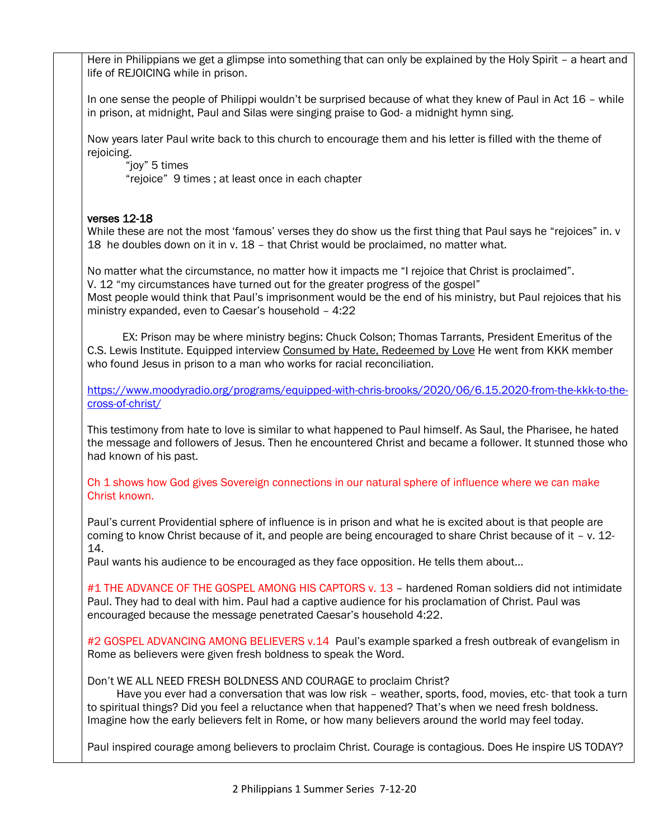Here in Philippians we get a glimpse into something that can only be explained by the Holy Spirit – a heart and life of REJOICING while in prison.

In one sense the people of Philippi wouldn't be surprised because of what they knew of Paul in Act 16 – while in prison, at midnight, Paul and Silas were singing praise to God- a midnight hymn sing.

Now years later Paul write back to this church to encourage them and his letter is filled with the theme of rejoicing.

"joy" 5 times "rejoice" 9 times ; at least once in each chapter

## verses 12-18

While these are not the most 'famous' verses they do show us the first thing that Paul says he "rejoices" in. v 18 he doubles down on it in v. 18 – that Christ would be proclaimed, no matter what.

No matter what the circumstance, no matter how it impacts me "I rejoice that Christ is proclaimed". V. 12 "my circumstances have turned out for the greater progress of the gospel" Most people would think that Paul's imprisonment would be the end of his ministry, but Paul rejoices that his ministry expanded, even to Caesar's household – 4:22

 EX: Prison may be where ministry begins: Chuck Colson; Thomas Tarrants, President Emeritus of the C.S. Lewis Institute. Equipped interview Consumed by Hate, Redeemed by Love He went from KKK member who found Jesus in prison to a man who works for racial reconciliation.

[https://www.moodyradio.org/programs/equipped-with-chris-brooks/2020/06/6.15.2020-from-the-kkk-to-the](https://www.moodyradio.org/programs/equipped-with-chris-brooks/2020/06/6.15.2020-from-the-kkk-to-the-cross-of-christ/)[cross-of-christ/](https://www.moodyradio.org/programs/equipped-with-chris-brooks/2020/06/6.15.2020-from-the-kkk-to-the-cross-of-christ/)

This testimony from hate to love is similar to what happened to Paul himself. As Saul, the Pharisee, he hated the message and followers of Jesus. Then he encountered Christ and became a follower. It stunned those who had known of his past.

Ch 1 shows how God gives Sovereign connections in our natural sphere of influence where we can make Christ known.

Paul's current Providential sphere of influence is in prison and what he is excited about is that people are coming to know Christ because of it, and people are being encouraged to share Christ because of it – v. 12- 14.

Paul wants his audience to be encouraged as they face opposition. He tells them about…

#1 THE ADVANCE OF THE GOSPEL AMONG HIS CAPTORS v. 13 – hardened Roman soldiers did not intimidate Paul. They had to deal with him. Paul had a captive audience for his proclamation of Christ. Paul was encouraged because the message penetrated Caesar's household 4:22.

#2 GOSPEL ADVANCING AMONG BELIEVERS v.14 Paul's example sparked a fresh outbreak of evangelism in Rome as believers were given fresh boldness to speak the Word.

Don't WE ALL NEED FRESH BOLDNESS AND COURAGE to proclaim Christ?

 Have you ever had a conversation that was low risk – weather, sports, food, movies, etc- that took a turn to spiritual things? Did you feel a reluctance when that happened? That's when we need fresh boldness. Imagine how the early believers felt in Rome, or how many believers around the world may feel today.

Paul inspired courage among believers to proclaim Christ. Courage is contagious. Does He inspire US TODAY?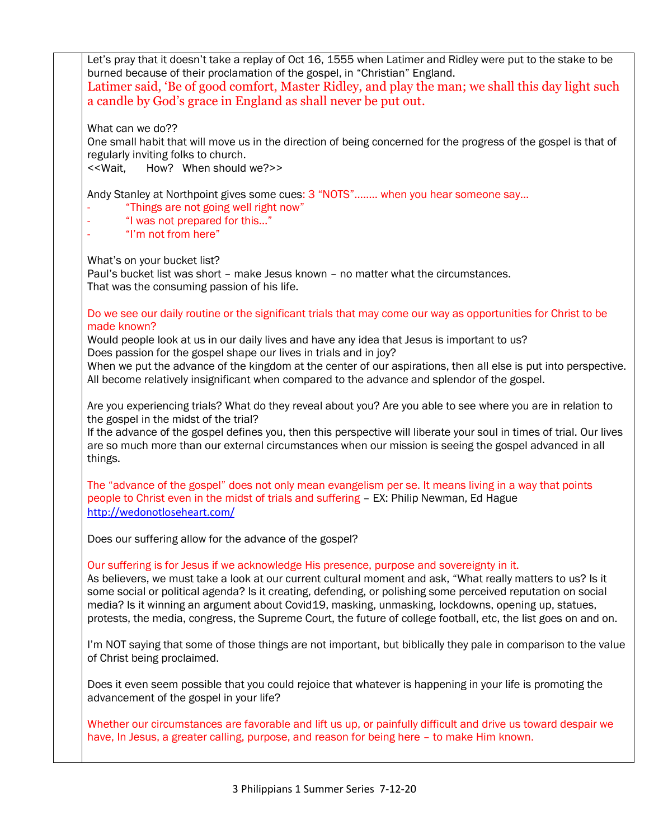Let's pray that it doesn't take a replay of Oct 16, 1555 when Latimer and Ridley were put to the stake to be burned because of their proclamation of the gospel, in "Christian" England. Latimer said, 'Be of good comfort, Master Ridley, and play the man; we shall this day light such a candle by God's grace in England as shall never be put out.

What can we do??

One small habit that will move us in the direction of being concerned for the progress of the gospel is that of regularly inviting folks to church.

<<Wait, How? When should we?>>

Andy Stanley at Northpoint gives some cues: 3 "NOTS"…….. when you hear someone say…

- "Things are not going well right now"
- "I was not prepared for this..."
- "I'm not from here"

What's on your bucket list?

Paul's bucket list was short – make Jesus known – no matter what the circumstances. That was the consuming passion of his life.

Do we see our daily routine or the significant trials that may come our way as opportunities for Christ to be made known?

Would people look at us in our daily lives and have any idea that Jesus is important to us? Does passion for the gospel shape our lives in trials and in joy?

When we put the advance of the kingdom at the center of our aspirations, then all else is put into perspective. All become relatively insignificant when compared to the advance and splendor of the gospel.

Are you experiencing trials? What do they reveal about you? Are you able to see where you are in relation to the gospel in the midst of the trial?

If the advance of the gospel defines you, then this perspective will liberate your soul in times of trial. Our lives are so much more than our external circumstances when our mission is seeing the gospel advanced in all things.

The "advance of the gospel" does not only mean evangelism per se. It means living in a way that points people to Christ even in the midst of trials and suffering – EX: Philip Newman, Ed Hague <http://wedonotloseheart.com/>

Does our suffering allow for the advance of the gospel?

## Our suffering is for Jesus if we acknowledge His presence, purpose and sovereignty in it.

As believers, we must take a look at our current cultural moment and ask, "What really matters to us? Is it some social or political agenda? Is it creating, defending, or polishing some perceived reputation on social media? Is it winning an argument about Covid19, masking, unmasking, lockdowns, opening up, statues, protests, the media, congress, the Supreme Court, the future of college football, etc, the list goes on and on.

I'm NOT saying that some of those things are not important, but biblically they pale in comparison to the value of Christ being proclaimed.

Does it even seem possible that you could rejoice that whatever is happening in your life is promoting the advancement of the gospel in your life?

Whether our circumstances are favorable and lift us up, or painfully difficult and drive us toward despair we have, In Jesus, a greater calling, purpose, and reason for being here – to make Him known.